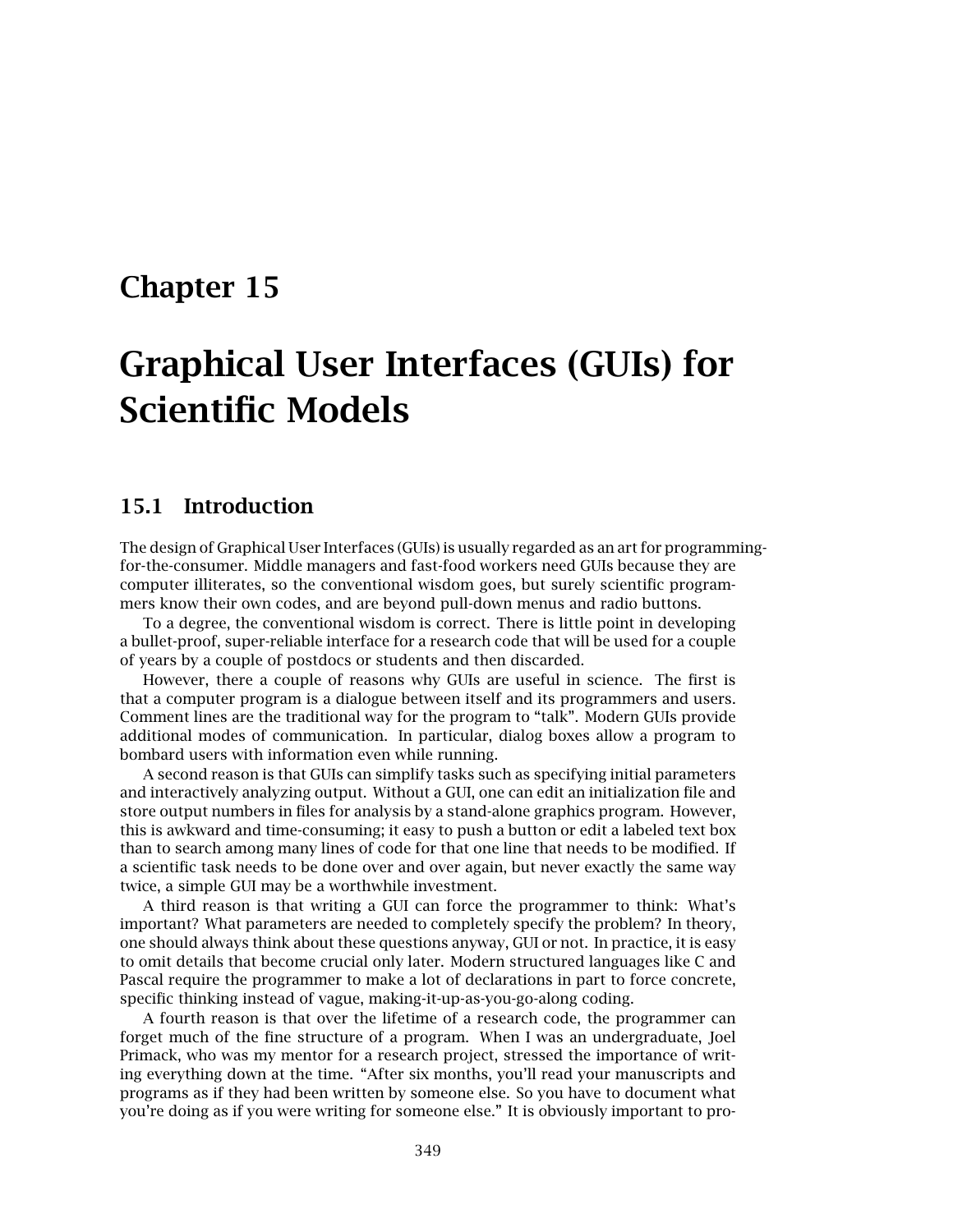## **Chapter 15**

# **Graphical User Interfaces (GUIs) for Scientific Models**

### **15.1 Introduction**

The design of Graphical User Interfaces (GUIs) is usually regarded as an art for programmingfor-the-consumer. Middle managers and fast-food workers need GUIs because they are computer illiterates, so the conventional wisdom goes, but surely scientific programmers know their own codes, and are beyond pull-down menus and radio buttons.

To a degree, the conventional wisdom is correct. There is little point in developing a bullet-proof, super-reliable interface for a research code that will be used for a couple of years by a couple of postdocs or students and then discarded.

However, there a couple of reasons why GUIs are useful in science. The first is that a computer program is a dialogue between itself and its programmers and users. Comment lines are the traditional way for the program to "talk". Modern GUIs provide additional modes of communication. In particular, dialog boxes allow a program to bombard users with information even while running.

A second reason is that GUIs can simplify tasks such as specifying initial parameters and interactively analyzing output. Without a GUI,one can edit an initialization file and store output numbers in files for analysis by a stand-alone graphics program. However, this is awkward and time-consuming; it easy to push a button or edit a labeled text box than to search among many lines of code for that one line that needs to be modified. If a scientific task needs to be done over and over again, but never exactly the same way twice, a simple GUI may be a worthwhile investment.

A third reason is that writing a GUI can force the programmer to think: What's important? What parameters are needed to completely specify the problem? In theory, one should always think about these questions anyway,GUI or not. In practice,it is easy to omit details that become crucial only later. Modern structured languages like C and Pascal require the programmer to make a lot of declarations in part to force concrete, specific thinking instead of vague, making-it-up-as-you-go-along coding.

A fourth reason is that over the lifetime of a research code, the programmer can forget much of the fine structure of a program. When I was an undergraduate, Joel Primack, who was my mentor for a research project, stressed the importance of writing everything down at the time. "After six months, you'll read your manuscripts and programs as if they had been written by someone else. So you have to document what you're doing as if you were writing for someone else." It is obviously important to pro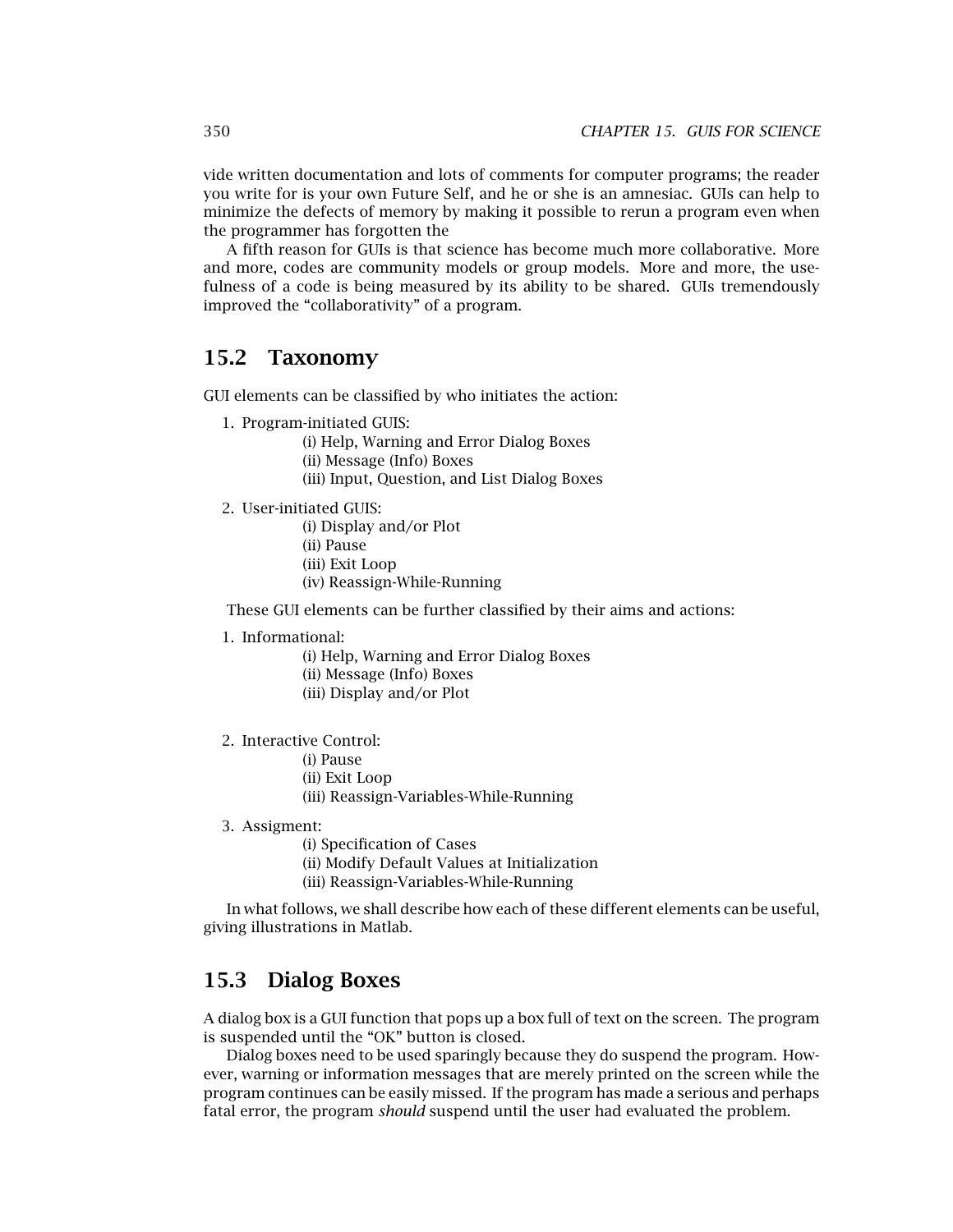vide written documentation and lots of comments for computer programs; the reader you write for is your own Future Self,and he or she is an amnesiac. GUIs can help to minimize the defects of memory by making it possible to rerun a program even when the programmer has forgotten the

A fifth reason for GUIs is that science has become much more collaborative. More and more, codes are community models or group models. More and more, the usefulness of a code is being measured by its ability to be shared. GUIs tremendously improved the "collaborativity" of a program.

### **15.2 Taxonomy**

GUI elements can be classified by who initiates the action:

- 1. Program-initiated GUIS:
	- (i) Help, Warning and Error Dialog Boxes
	- (ii) Message (Info) Boxes
	- (iii) Input, Question, and List Dialog Boxes
- 2. User-initiated GUIS:
	- (i) Display and/or Plot (ii) Pause (iii) Exit Loop (iv) Reassign-While-Running

These GUI elements can be further classified by their aims and actions:

1. Informational:

(i) Help,Warning and Error Dialog Boxes (ii) Message (Info) Boxes (iii) Display and/or Plot

- 2. Interactive Control:
	- (i) Pause
	- (ii) Exit Loop

(iii) Reassign-Variables-While-Running

3. Assigment:

(i) Specification of Cases

(ii) Modify Default Values at Initialization

(iii) Reassign-Variables-While-Running

In what follows,we shall describe how each of these different elements can be useful, giving illustrations in Matlab.

### **15.3 Dialog Boxes**

A dialog box is a GUI function that pops up a box full of text on the screen. The program is suspended until the "OK" button is closed.

Dialog boxes need to be used sparingly because they do suspend the program. However, warning or information messages that are merely printed on the screen while the program continues can be easily missed. If the program has made a serious and perhaps fatal error, the program *should* suspend until the user had evaluated the problem.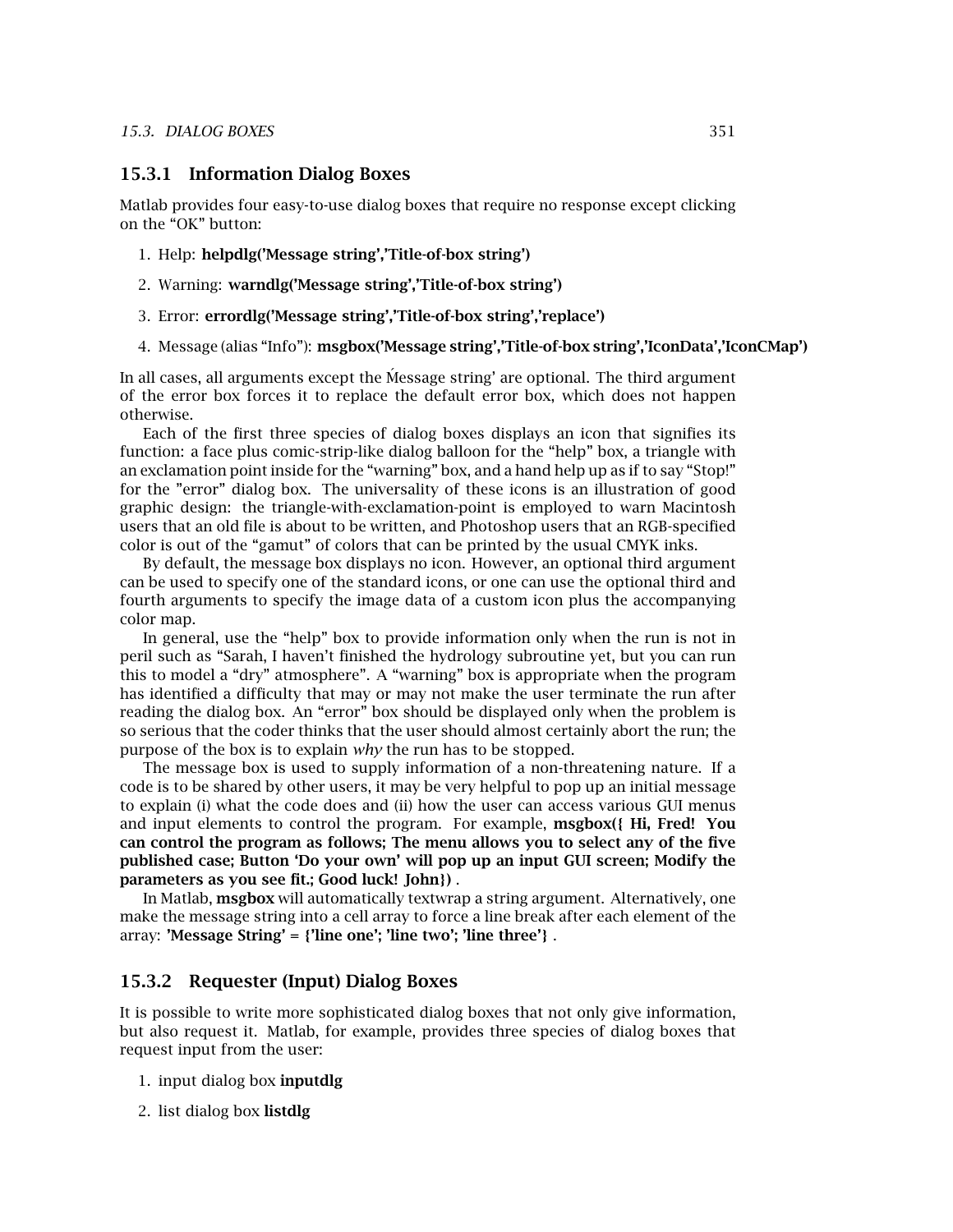#### **15.3.1 Information Dialog Boxes**

Matlab provides four easy-to-use dialog boxes that require no response except clicking on the "OK" button:

- 1. Help: **helpdlg('Message string','Title-of-box string')**
- 2. Warning: **warndlg('Message string','Title-of-box string')**
- 3. Error: **errordlg('Message string','Title-of-box string','replace')**
- 4. Message (alias "Info"): **msgbox('Message string','Title-of-box string','IconData','IconCMap')**

In all cases, all arguments except the Message string' are optional. The third argument of the error box forces it to replace the default error box, which does not happen otherwise.

Each of the first three species of dialog boxes displays an icon that signifies its function: a face plus comic-strip-like dialog balloon for the "help" box, a triangle with an exclamation point inside for the "warning" box, and a hand help up as if to say "Stop!" for the "error" dialog box. The universality of these icons is an illustration of good graphic design: the triangle-with-exclamation-point is employed to warn Macintosh users that an old file is about to be written, and Photoshop users that an RGB-specified color is out of the "gamut" of colors that can be printed by the usual CMYK inks.

By default, the message box displays no icon. However, an optional third argument can be used to specify one of the standard icons, or one can use the optional third and fourth arguments to specify the image data of a custom icon plus the accompanying color map.

In general, use the "help" box to provide information only when the run is not in peril such as "Sarah, I haven't finished the hydrology subroutine yet, but you can run this to model a "dry" atmosphere". A "warning" box is appropriate when the program has identified a difficulty that may or may not make the user terminate the run after reading the dialog box. An "error" box should be displayed only when the problem is so serious that the coder thinks that the user should almost certainly abort the run; the purpose of the box is to explain *why* the run has to be stopped.

The message box is used to supply information of a non-threatening nature. If a code is to be shared by other users, it may be very helpful to pop up an initial message to explain (i) what the code does and (ii) how the user can access various GUI menus and input elements to control the program. For example, **msgbox(***{* **Hi, Fred! You can control the programas follows; The menu allows you to select any of the five published case; Button 'Do your own' will pop up an input GUI screen; Modify the parameters as you see fit.; Good luck! John***}***)** .

In Matlab, **msgbox** will automatically textwrap a string argument. Alternatively, one make the message string into a cell array to force a line break after each element of the array: **'Message String' =** *{***'line one'; 'line two'; 'line three'***}* .

#### **15.3.2 Requester (Input) Dialog Boxes**

It is possible to write more sophisticated dialog boxes that not only give information, but also request it. Matlab, for example, provides three species of dialog boxes that request input from the user:

- 1. input dialog box **inputdlg**
- 2. list dialog box **listdlg**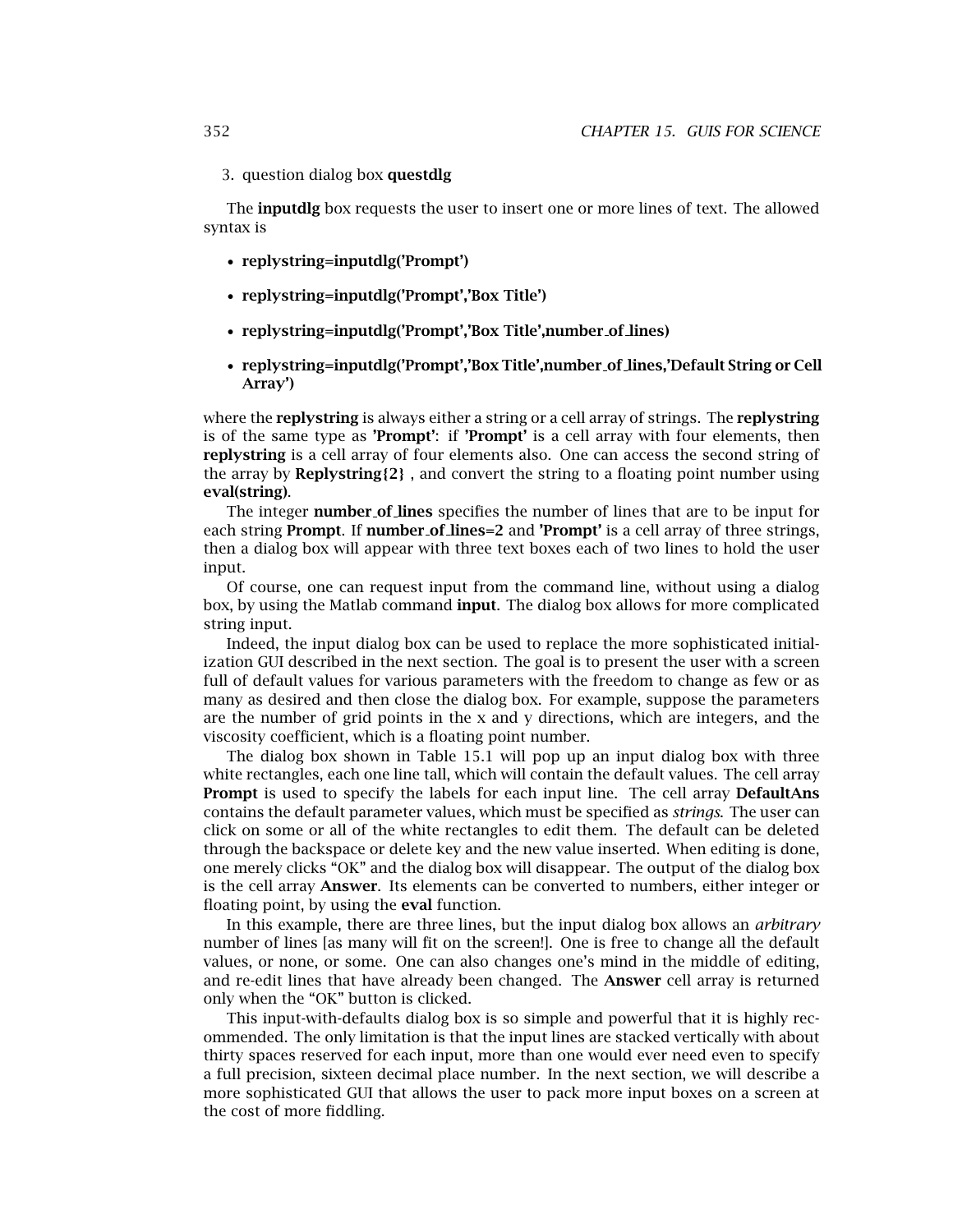#### 3. question dialog box **questdlg**

The **inputdlg** box requests the user to insert one or more lines of text. The allowed syntax is

- **replystring=inputdlg('Prompt')**
- **replystring=inputdlg('Prompt','Box Title')**
- **replystring=inputdlg('Prompt','Box Title',number of lines)**
- **replystring=inputdlg('Prompt','Box Title',number of lines,'Default String or Cell Array')**

where the **replystring** is always either a string or a cell array of strings. The **replystring** is of the same type as 'Prompt': if 'Prompt' is a cell array with four elements, then **replystring** is a cell array of four elements also. One can access the second string of the array by **Replystring** ${2}$ , and convert the string to a floating point number using **eval(string)**.

The integer **number of lines** specifies the number of lines that are to be input for each string **Prompt**. If **number of lines=2** and **'Prompt'** is a cell array of three strings, then a dialog box will appear with three text boxes each of two lines to hold the user input.

Of course, one can request input from the command line, without using a dialog box,by using the Matlab command **input**. The dialog box allows for more complicated string input.

Indeed, the input dialog box can be used to replace the more sophisticated initialization GUI described in the next section. The goal is to present the user with a screen full of default values for various parameters with the freedom to change as few or as many as desired and then close the dialog box. For example, suppose the parameters are the number of grid points in the  $x$  and  $y$  directions, which are integers, and the viscosity coefficient, which is a floating point number.

The dialog box shown in Table 15.1 will pop up an input dialog box with three white rectangles, each one line tall, which will contain the default values. The cell array **Prompt** is used to specify the labels for each input line. The cell array **DefaultAns** contains the default parameter values, which must be specified as *strings*. The user can click on some or all of the white rectangles to edit them. The default can be deleted through the backspace or delete key and the new value inserted. When editing is done, one merely clicks "OK" and the dialog box will disappear. The output of the dialog box is the cell array **Answer**. Its elements can be converted to numbers, either integer or floating point, by using the **eval** function.

In this example, there are three lines, but the input dialog box allows an *arbitrary* number of lines [as many will fit on the screen!]. One is free to change all the default values, or none, or some. One can also changes one's mind in the middle of editing, and re-edit lines that have already been changed. The **Answer** cell array is returned only when the "OK" button is clicked.

This input-with-defaults dialog box is so simple and powerful that it is highly recommended. The only limitation is that the input lines are stacked vertically with about thirty spaces reserved for each input, more than one would ever need even to specify a full precision, sixteen decimal place number. In the next section, we will describe a more sophisticated GUI that allows the user to pack more input boxes on a screen at the cost of more fiddling.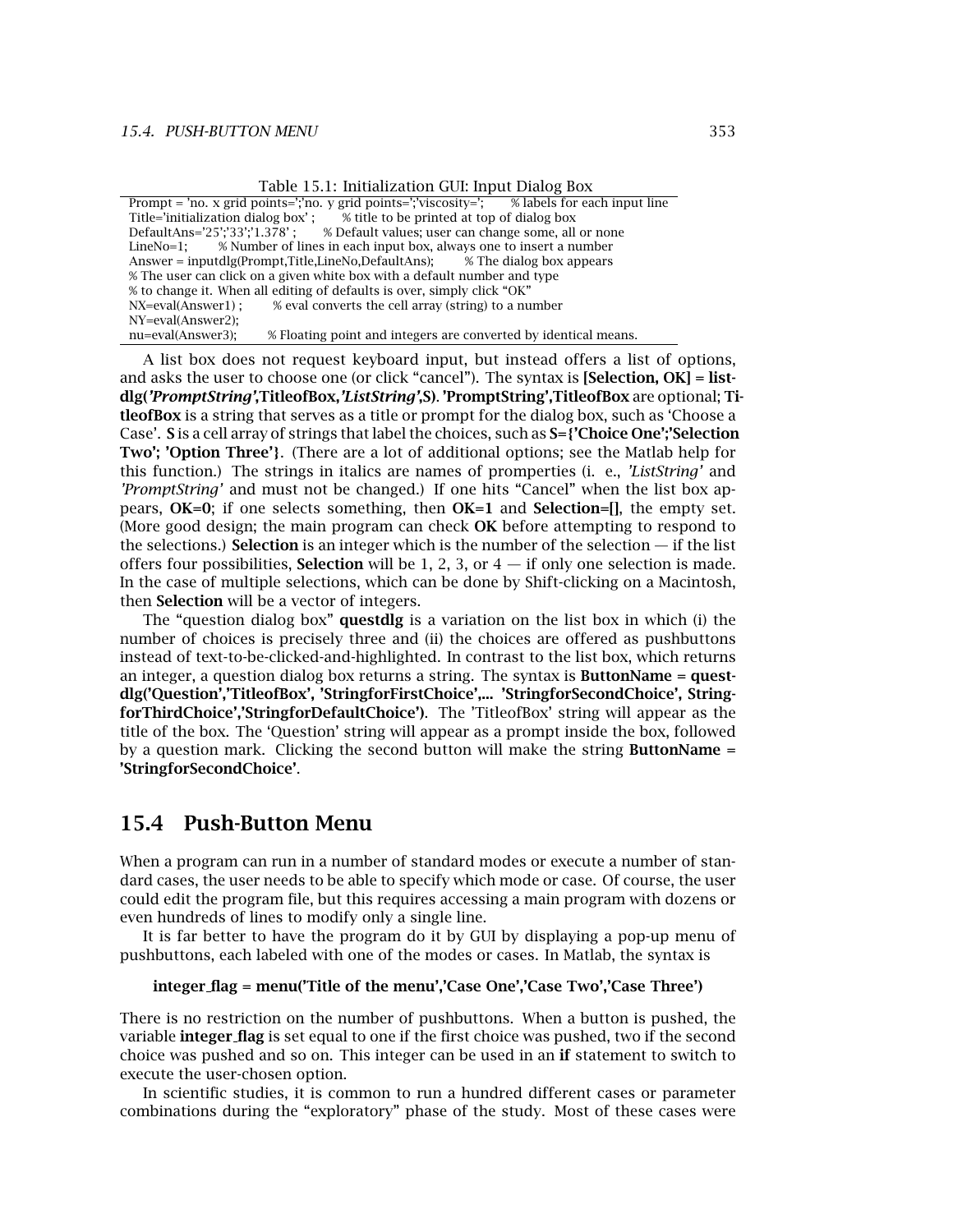|  |  | Table 15.1: Initialization GUI: Input Dialog Box |  |  |  |  |
|--|--|--------------------------------------------------|--|--|--|--|
|--|--|--------------------------------------------------|--|--|--|--|

|                    | Prompt = 'no. x grid points=';'no. y grid points=';'viscosity='; % labels for each input line |  |
|--------------------|-----------------------------------------------------------------------------------------------|--|
|                    | Title='initialization dialog box': % title to be printed at top of dialog box                 |  |
|                    | DefaultAns='25';'33';'1.378': % Default values; user can change some, all or none             |  |
|                    | Line $No=1$ ; % Number of lines in each input box, always one to insert a number              |  |
|                    | Answer = inputdlg(Prompt, Title, LineNo, DefaultAns); $\%$ The dialog box appears             |  |
|                    | % The user can click on a given white box with a default number and type                      |  |
|                    | % to change it. When all editing of defaults is over, simply click "OK"                       |  |
| NX=eval(Answer1) ; | % eval converts the cell array (string) to a number                                           |  |
| NY=eval(Answer2):  |                                                                                               |  |
| nu=eval(Answer3);  | % Floating point and integers are converted by identical means.                               |  |
|                    |                                                                                               |  |

A list box does not request keyboard input, but instead offers a list of options, and asks the user to choose one (or click "cancel"). The syntax is **[Selection, OK] = listdlg(***'PromptString'***,TitleofBox,***'ListString'***,S)**. **'PromptString',TitleofBox** are optional; **TitleofBox** is a string that serves as a title or prompt for the dialog box, such as 'Choose a Case'. S is a cell array of strings that label the choices, such as  $S = \{ 'Choice One'; Selection \}$ **Two'; 'Option Three'***}*. (There are a lot of additional options; see the Matlab help for this function.) The strings in italics are names of promperties (i. e., *'ListString'* and *'PromptString'* and must not be changed.) If one hits "Cancel" when the list box appears,  $OK=0$ ; if one selects something, then  $OK=1$  and **Selection=[]**, the empty set. (More good design; the main program can check **OK** before attempting to respond to the selections.) **Selection** is an integer which is the number of the selection — if the list offers four possibilities, **Selection** will be 1, 2, 3, or  $4 -$  if only one selection is made. In the case of multiple selections,which can be done by Shift-clicking on a Macintosh, then **Selection** will be a vector of integers.

The "question dialog box" **questdlg** is a variation on the list box in which (i) the number of choices is precisely three and (ii) the choices are offered as pushbuttons instead of text-to-be-clicked-and-highlighted. In contrast to the list box,which returns an integer, a question dialog box returns a string. The syntax is **ButtonName = questdlg('Question','TitleofBox', 'StringforFirstChoice',... 'StringforSecondChoice', StringforThirdChoice','StringforDefaultChoice')**. The 'TitleofBox' string will appear as the title of the box. The 'Question' string will appear as a prompt inside the box,followed by a question mark. Clicking the second button will make the string **ButtonName = 'StringforSecondChoice'**.

### **15.4 Push-Button Menu**

When a program can run in a number of standard modes or execute a number of standard cases, the user needs to be able to specify which mode or case. Of course, the user could edit the program file, but this requires accessing a main program with dozens or even hundreds of lines to modify only a single line.

It is far better to have the program do it by GUI by displaying a pop-up menu of pushbuttons, each labeled with one of the modes or cases. In Matlab, the syntax is

#### **integer flag = menu('Title of the menu','Case One','Case Two','Case Three')**

There is no restriction on the number of pushbuttons. When a button is pushed, the variable **integer\_flag** is set equal to one if the first choice was pushed, two if the second choice was pushed and so on. This integer can be used in an **if** statement to switch to execute the user-chosen option.

In scientific studies, it is common to run a hundred different cases or parameter combinations during the "exploratory" phase of the study. Most of these cases were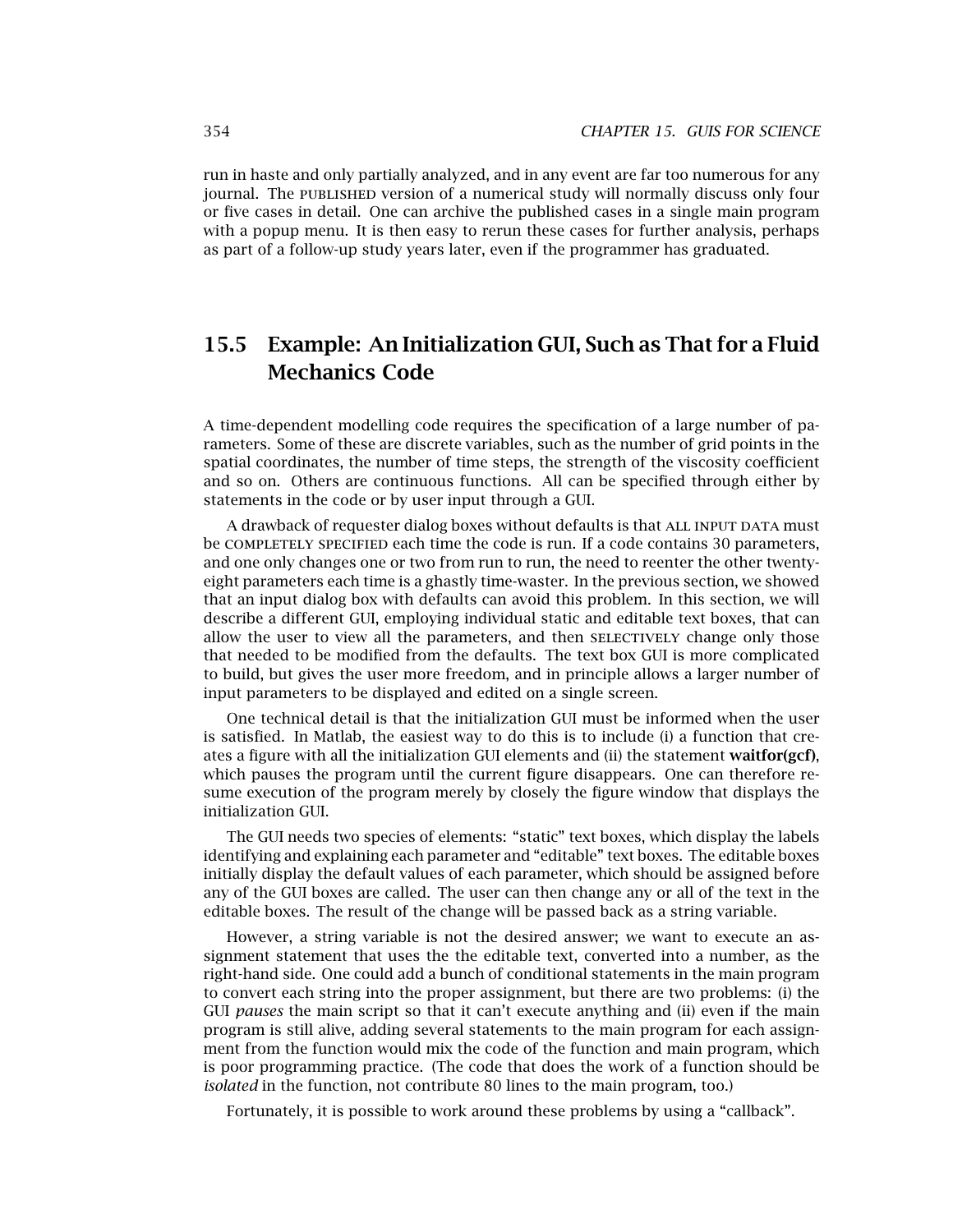run in haste and only partially analyzed, and in any event are far too numerous for any journal. The published version of a numerical study will normally discuss only four or five cases in detail. One can archive the published cases in a single main program with a popup menu. It is then easy to rerun these cases for further analysis, perhaps as part of a follow-up study years later, even if the programmer has graduated.

### **15.5 Example: An Initialization GUI, Such as That for a Fluid Mechanics Code**

A time-dependent modelling code requires the specification of a large number of parameters. Some of these are discrete variables, such as the number of grid points in the spatial coordinates, the number of time steps, the strength of the viscosity coefficient and so on. Others are continuous functions. All can be specified through either by statements in the code or by user input through a GUI.

A drawback of requester dialog boxes without defaults is that ALL INPUT DATA must be COMPLETELY SPECIFIED each time the code is run. If a code contains 30 parameters, and one only changes one or two from run to run, the need to reenter the other twentyeight parameters each time is a ghastly time-waster. In the previous section, we showed that an input dialog box with defaults can avoid this problem. In this section,we will describe a different GUI, employing individual static and editable text boxes, that can allow the user to view all the parameters, and then SELECTIVELY change only those that needed to be modified from the defaults. The text box GUI is more complicated to build, but gives the user more freedom, and in principle allows a larger number of input parameters to be displayed and edited on a single screen.

One technical detail is that the initialization GUI must be informed when the user is satisfied. In Matlab, the easiest way to do this is to include (i) a function that creates a figure with all the initialization GUI elements and (ii) the statement **waitfor(gcf)**, which pauses the program until the current figure disappears. One can therefore resume execution of the program merely by closely the figure window that displays the initialization GUI.

The GUI needs two species of elements: "static" text boxes, which display the labels identifying and explaining each parameter and "editable" text boxes. The editable boxes initially display the default values of each parameter, which should be assigned before any of the GUI boxes are called. The user can then change any or all of the text in the editable boxes. The result of the change will be passed back as a string variable.

However, a string variable is not the desired answer; we want to execute an assignment statement that uses the the editable text, converted into a number, as the right-hand side. One could add a bunch of conditional statements in the main program to convert each string into the proper assignment, but there are two problems: (i) the GUI *pauses* the main script so that it can't execute anything and (ii) even if the main program is still alive, adding several statements to the main program for each assignment from the function would mix the code of the function and main program, which is poor programming practice. (The code that does the work of a function should be *isolated* in the function, not contribute 80 lines to the main program, too.)

Fortunately, it is possible to work around these problems by using a "callback".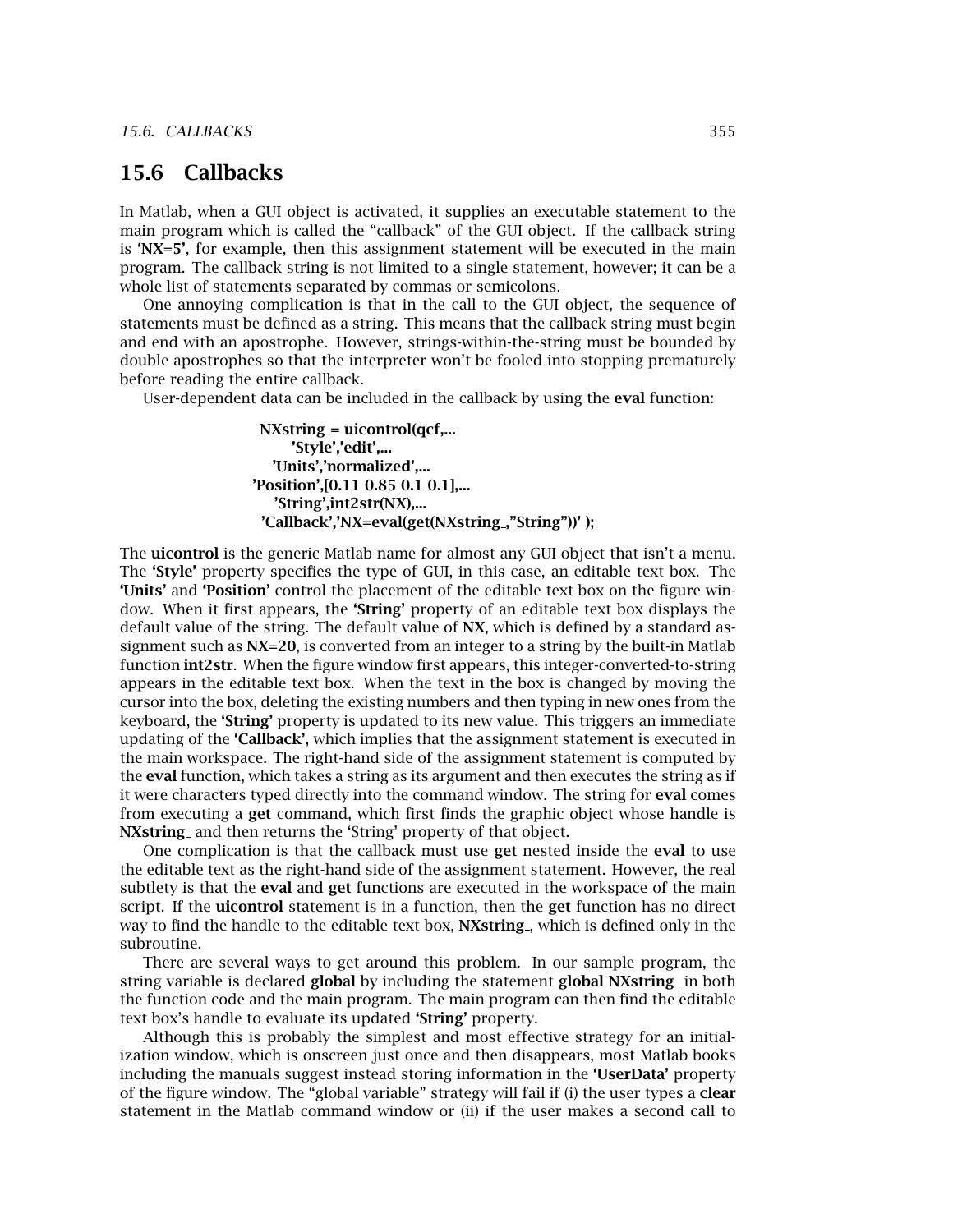### **15.6 Callbacks**

In Matlab, when a GUI object is activated, it supplies an executable statement to the main program which is called the "callback" of the GUI object. If the callback string is 'NX=5', for example, then this assignment statement will be executed in the main program. The callback string is not limited to a single statement,however; it can be a whole list of statements separated by commas or semicolons.

One annoying complication is that in the call to the GUI object, the sequence of statements must be defined as a string. This means that the callback string must begin and end with an apostrophe. However, strings-within-the-string must be bounded by double apostrophes so that the interpreter won't be fooled into stopping prematurely before reading the entire callback.

User-dependent data can be included in the callback by using the **eval** function:

**NXstring = uicontrol(qcf,... 'Style','edit',... 'Units','normalized',... 'Position',[0.11 0.85 0.1 0.1],... 'String',int2str(NX),... 'Callback','NX=eval(get(NXstring ,"String"))' );**

The **uicontrol** is the generic Matlab name for almost any GUI object that isn't a menu. The 'Style' property specifies the type of GUI, in this case, an editable text box. The **'Units'** and **'Position'** control the placement of the editable text box on the figure window. When it first appears, the **'String'** property of an editable text box displays the default value of the string. The default value of NX, which is defined by a standard assignment such as  $NX=20$ , is converted from an integer to a string by the built-in Matlab function **int2str**. When the figure window first appears, this integer-converted-to-string appears in the editable text box. When the text in the box is changed by moving the cursor into the box, deleting the existing numbers and then typing in new ones from the keyboard, the **'String'** property is updated to its new value. This triggers an immediate updating of the **'Callback'**,which implies that the assignment statement is executed in the main workspace. The right-hand side of the assignment statement is computed by the **eval** function,which takes a string as its argument and then executes the string as if it were characters typed directly into the command window. The string for **eval** comes from executing a **get** command,which first finds the graphic object whose handle is **NXstring** and then returns the 'String' property of that object.

One complication is that the callback must use **get** nested inside the **eval** to use the editable text as the right-hand side of the assignment statement. However, the real subtlety is that the **eval** and **get** functions are executed in the workspace of the main script. If the **uicontrol** statement is in a function, then the **get** function has no direct way to find the handle to the editable text box, **NXstring**, which is defined only in the subroutine.

There are several ways to get around this problem. In our sample program, the string variable is declared **global** by including the statement **global NXstring** in both the function code and the main program. The main program can then find the editable text box's handle to evaluate its updated **'String'** property.

Although this is probably the simplest and most effective strategy for an initialization window, which is onscreen just once and then disappears, most Matlab books including the manuals suggest instead storing information in the **'UserData'** property of the figure window. The "global variable" strategy will fail if (i) the user types a **clear** statement in the Matlab command window or (ii) if the user makes a second call to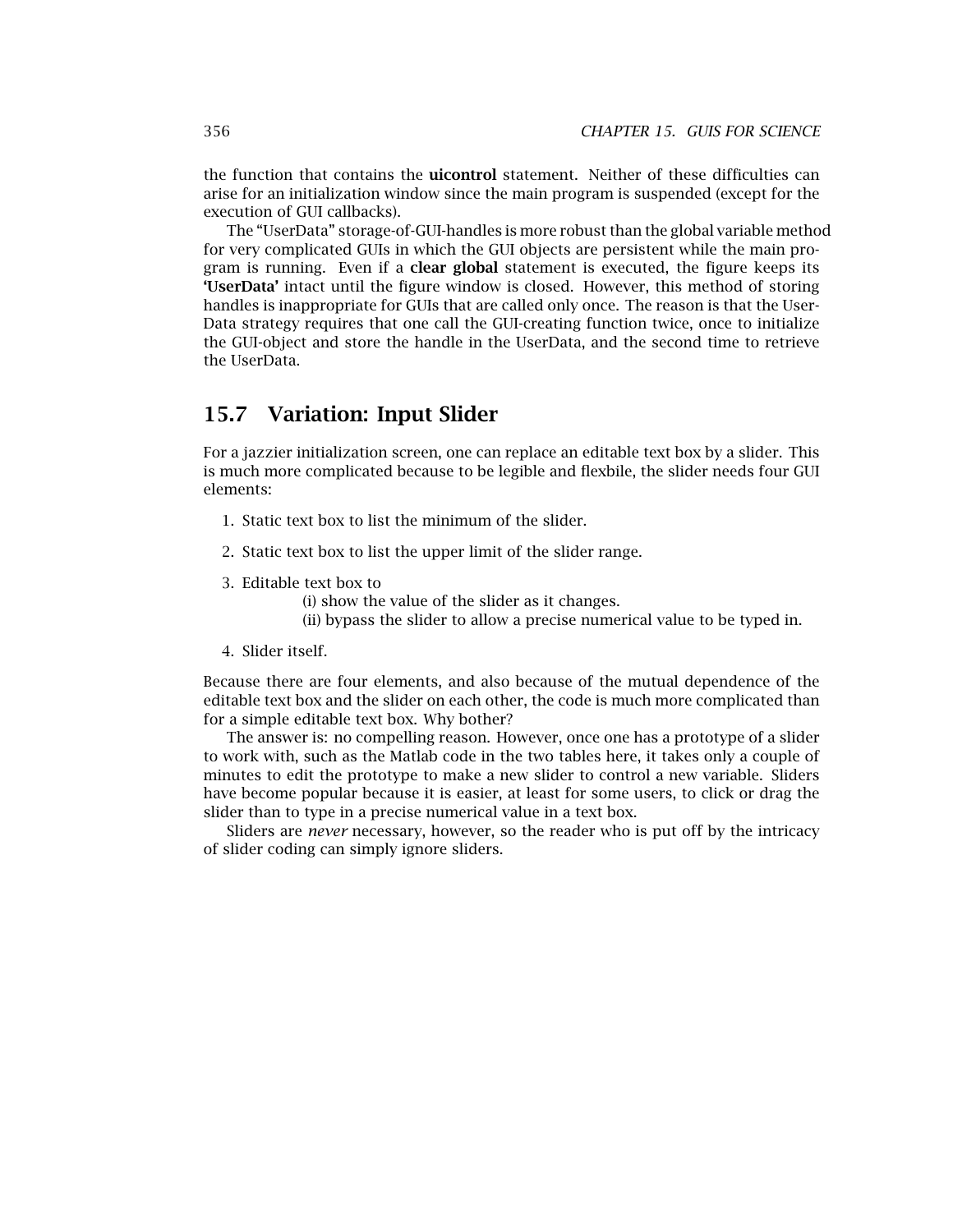the function that contains the **uicontrol** statement. Neither of these difficulties can arise for an initialization window since the main program is suspended (except for the execution of GUI callbacks).

The "UserData" storage-of-GUI-handles is more robust than the global variable method for very complicated GUIs in which the GUI objects are persistent while the main program is running. Even if a **clear global** statement is executed, the figure keeps its **'UserData'** intact until the figure window is closed. However, this method of storing handles is inappropriate for GUIs that are called only once. The reason is that the User-Data strategy requires that one call the GUI-creating function twice, once to initialize the GUI-object and store the handle in the UserData, and the second time to retrieve the UserData.

### **15.7 Variation: Input Slider**

For a jazzier initialization screen, one can replace an editable text box by a slider. This is much more complicated because to be legible and flexbile, the slider needs four GUI elements:

- 1. Static text box to list the minimum of the slider.
- 2. Static text box to list the upper limit of the slider range.
- 3. Editable text box to

(i) show the value of the slider as it changes.

(ii) bypass the slider to allow a precise numerical value to be typed in.

4. Slider itself.

Because there are four elements, and also because of the mutual dependence of the editable text box and the slider on each other, the code is much more complicated than for a simple editable text box. Why bother?

The answer is: no compelling reason. However, once one has a prototype of a slider to work with, such as the Matlab code in the two tables here, it takes only a couple of minutes to edit the prototype to make a new slider to control a new variable. Sliders have become popular because it is easier, at least for some users, to click or drag the slider than to type in a precise numerical value in a text box.

Sliders are *never* necessary, however, so the reader who is put off by the intricacy of slider coding can simply ignore sliders.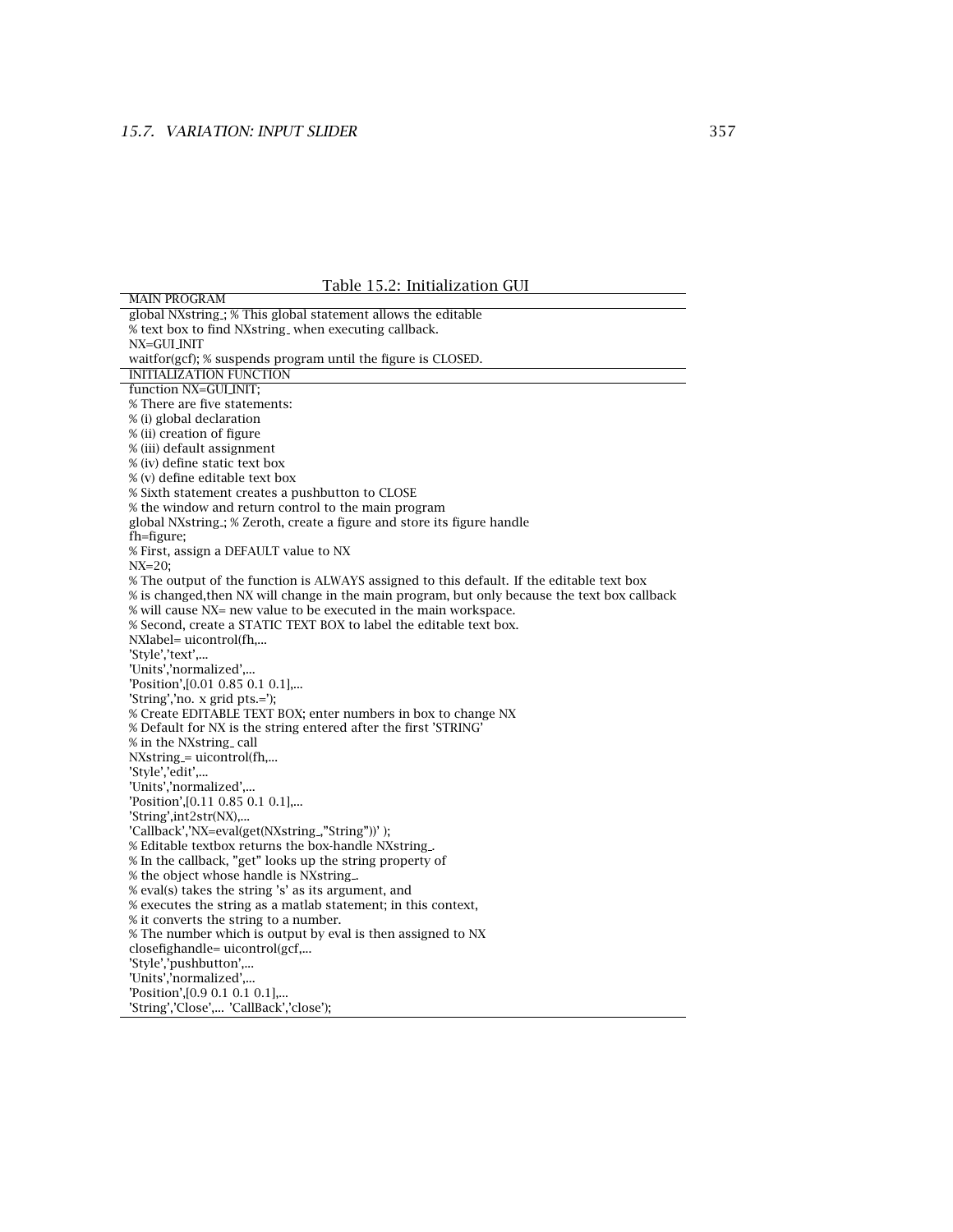Table 15.2: Initialization GUI

| Table 15.2: Initialization GUI                                                                |
|-----------------------------------------------------------------------------------------------|
| <b>MAIN PROGRAM</b>                                                                           |
| global NXstring ; % This global statement allows the editable                                 |
| % text box to find NXstring_when executing callback.                                          |
| NX=GULINIT                                                                                    |
| waitfor(gcf); % suspends program until the figure is CLOSED.                                  |
| <b>INITIALIZATION FUNCTION</b>                                                                |
| function NX=GUI INIT;                                                                         |
| % There are five statements:                                                                  |
| % (i) global declaration                                                                      |
| % (ii) creation of figure                                                                     |
| % (iii) default assignment                                                                    |
| % (iv) define static text box                                                                 |
| % (v) define editable text box                                                                |
| % Sixth statement creates a pushbutton to CLOSE                                               |
| % the window and return control to the main program                                           |
| global NXstring ; % Zeroth, create a figure and store its figure handle                       |
| fh=figure;                                                                                    |
| % First, assign a DEFAULT value to NX                                                         |
| $NX=20$ ;                                                                                     |
| % The output of the function is ALWAYS assigned to this default. If the editable text box     |
| % is changed, then NX will change in the main program, but only because the text box callback |
| % will cause NX= new value to be executed in the main workspace.                              |
| % Second, create a STATIC TEXT BOX to label the editable text box.                            |
| NXlabel= uicontrol(fh,                                                                        |
| 'Style','text',                                                                               |
| 'Units','normalized',                                                                         |
| 'Position',[0.01 0.85 0.1 0.1],                                                               |
| 'String','no. x grid pts.=');                                                                 |
| % Create EDITABLE TEXT BOX; enter numbers in box to change NX                                 |
| % Default for NX is the string entered after the first 'STRING'                               |
| % in the NXstring_call                                                                        |
| $NXstring = uicontrol(fh,$                                                                    |
| 'Style','edit',                                                                               |
| 'Units','normalized',                                                                         |
| 'Position', [0.11 0.85 0.1 0.1],                                                              |
| 'String',int2str(NX),                                                                         |
| 'Callback','NX=eval(get(NXstring_,"String"))');                                               |
| % Editable textbox returns the box-handle NXstring                                            |
| % In the callback, "get" looks up the string property of                                      |
| % the object whose handle is NXstring                                                         |
| % eval(s) takes the string 's' as its argument, and                                           |
| % executes the string as a matlab statement; in this context,                                 |
| % it converts the string to a number.                                                         |
| % The number which is output by eval is then assigned to NX                                   |
| closefighandle= uicontrol(gcf,                                                                |
| 'Style','pushbutton',                                                                         |
| 'Units','normalized',                                                                         |
| Position', [0.9 0.1 0.1 0.1],                                                                 |
| 'String','Close', 'CallBack','close');                                                        |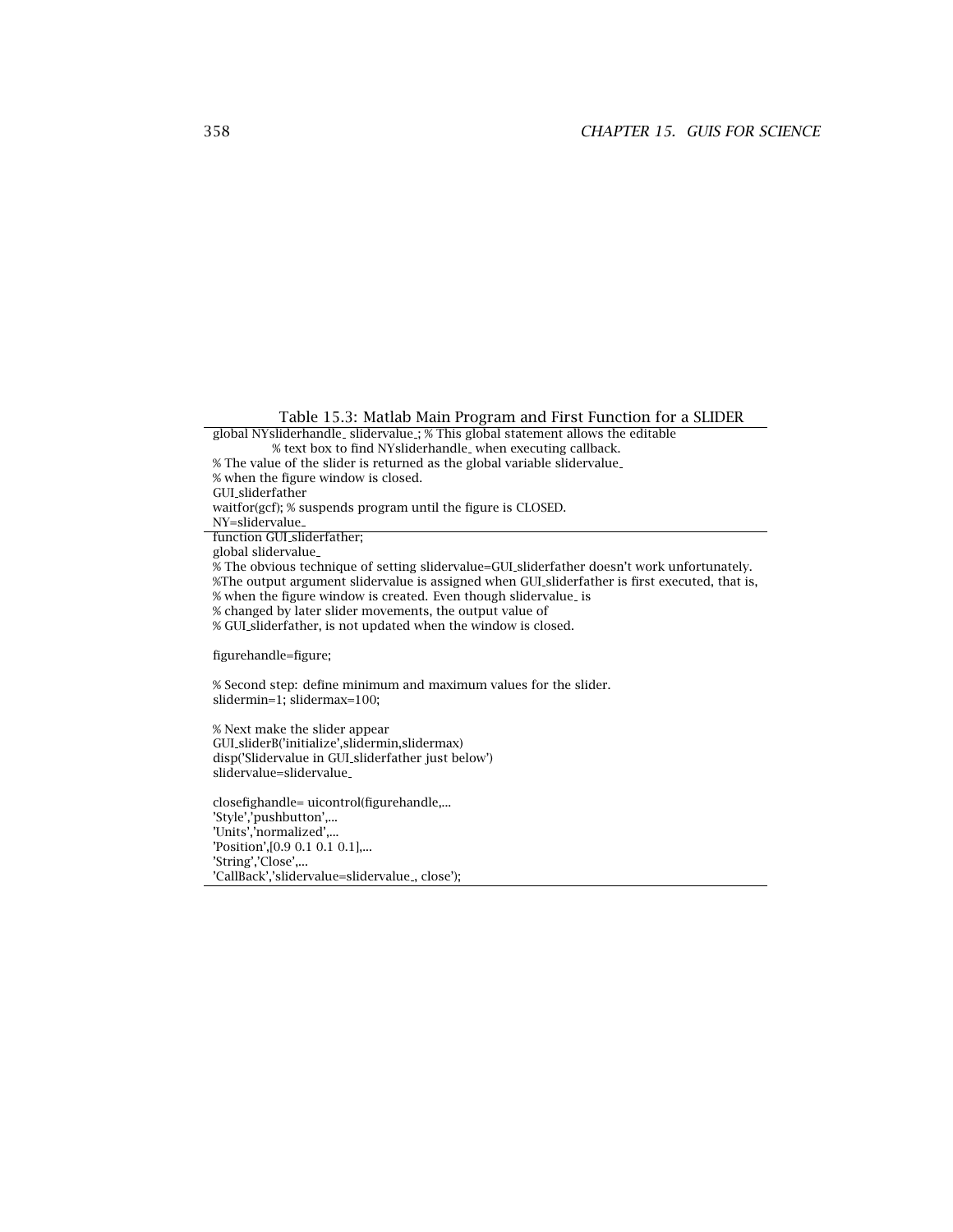Table 15.3: Matlab Main Program and First Function for a SLIDER

global NYsliderhandle slidervalue ; % This global statement allows the editable % text box to find NYsliderhandle when executing callback.

% The value of the slider is returned as the global variable slidervalue

% when the figure window is closed.

GUI sliderfather

waitfor(gcf); % suspends program until the figure is CLOSED.

NY=slidervalue

function GUI sliderfather;

global slidervalue

% The obvious technique of setting slidervalue=GUI sliderfather doesn't work unfortunately.

%The output argument slidervalue is assigned when GUI sliderfather is first executed, that is,

% when the figure window is created. Even though slidervalue is

% changed by later slider movements, the output value of

% GUI sliderfather,is not updated when the window is closed.

figurehandle=figure;

% Second step: define minimum and maximum values for the slider. slidermin=1; slidermax=100;

% Next make the slider appear GUI sliderB('initialize',slidermin,slidermax) disp('Slidervalue in GUI sliderfather just below') slidervalue=slidervalue

closefighandle= uicontrol(figurehandle,... 'Style','pushbutton',... 'Units','normalized',... 'Position',[0.9 0.1 0.1 0.1],... 'String','Close',... 'CallBack','slidervalue=slidervalue<sub>,close');</sub>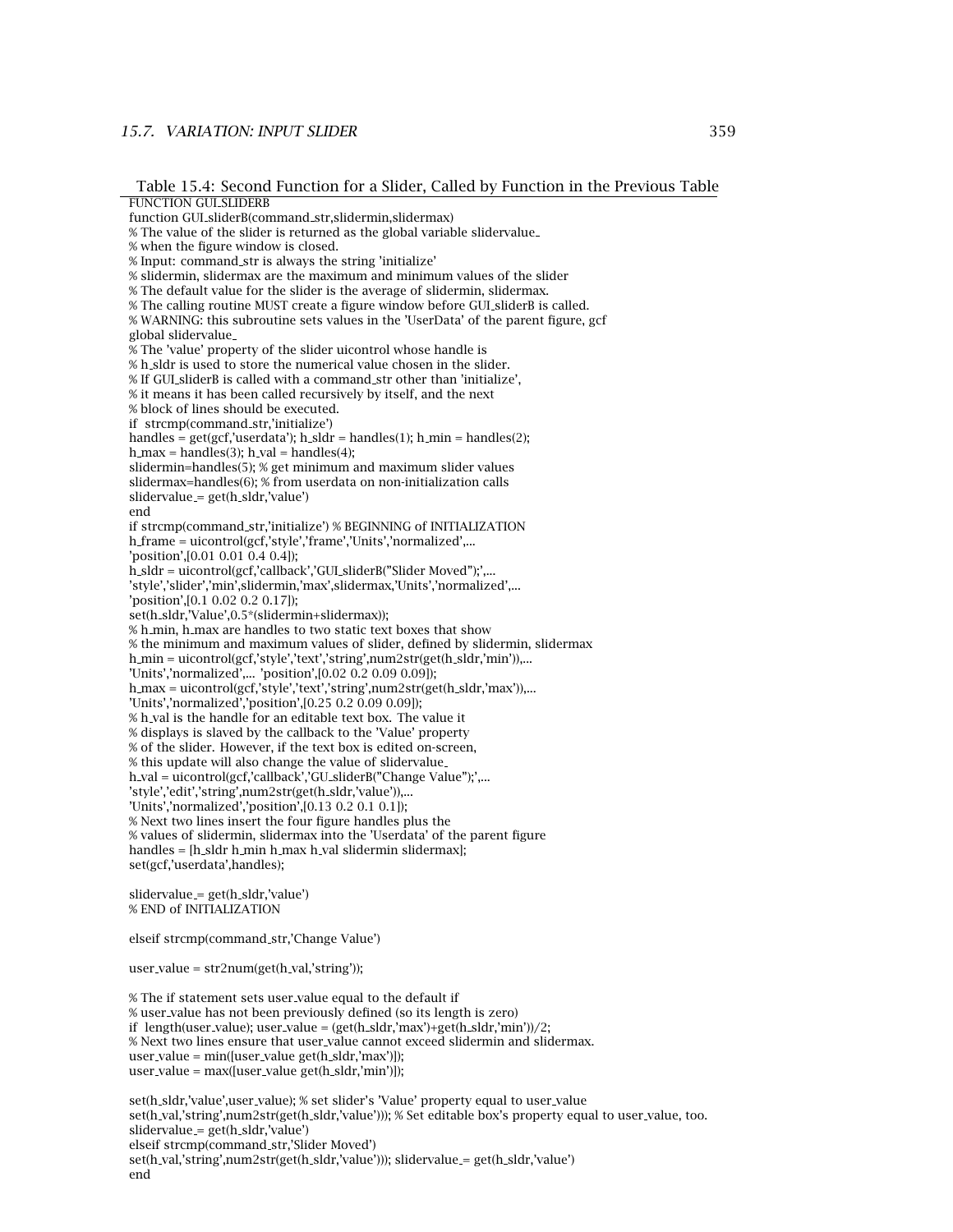#### *15.7. VARIATION: INPUT SLIDER* 359

Table 15.4: Second Function for a Slider, Called by Function in the Previous Table

FUNCTION GUI SLIDERB function GUI sliderB(command str,slidermin,slidermax) % The value of the slider is returned as the global variable slidervalue % when the figure window is closed. % Input: command str is always the string 'initialize' % slidermin, slidermax are the maximum and minimum values of the slider % The default value for the slider is the average of slidermin, slidermax. % The calling routine MUST create a figure window before GUI sliderB is called. % WARNING: this subroutine sets values in the 'UserData' of the parent figure, gcf global slidervalue % The 'value' property of the slider uicontrol whose handle is % h sldr is used to store the numerical value chosen in the slider. % If GUI sliderB is called with a command str other than 'initialize', % it means it has been called recursively by itself, and the next % block of lines should be executed. if strcmp(command str,'initialize') handles =  $get(gcf,'userdata'); h_slot = handles(1); h.min = handles(2);$ h max = handles(3); h val = handles(4); slidermin=handles(5); % get minimum and maximum slider values slidermax=handles(6); % from userdata on non-initialization calls slidervalue = get(h sldr,'value') end if strcmp(command str,'initialize') % BEGINNING of INITIALIZATION h frame = uicontrol(gcf,'style','frame','Units','normalized',... 'position',[0.01 0.01 0.4 0.4]); h sldr = uicontrol(gcf,'callback','GUI sliderB("Slider Moved");',... 'style','slider','min',slidermin,'max',slidermax,'Units','normalized',... 'position',[0.1 0.02 0.2 0.17]); set(h sldr,'Value',0.5\*(slidermin+slidermax)); % h min, h max are handles to two static text boxes that show % the minimum and maximum values of slider, defined by slidermin, slidermax h min = uicontrol(gcf,'style','text','string',num2str(get(h sldr,'min')),... 'Units','normalized',... 'position',[0.02 0.2 0.09 0.09]); h max = uicontrol(gcf,'style','text','string',num2str(get(h sldr,'max')),... 'Units','normalized','position',[0.25 0.2 0.09 0.09]); % h val is the handle for an editable text box. The value it % displays is slaved by the callback to the 'Value' property % of the slider. However, if the text box is edited on-screen, % this update will also change the value of slidervalue h val = uicontrol(gcf,'callback','GU sliderB("Change Value");',... 'style','edit','string',num2str(get(h sldr,'value')),... 'Units','normalized','position',[0.13 0.2 0.1 0.1]); % Next two lines insert the four figure handles plus the % values of slidermin, slidermax into the 'Userdata' of the parent figure handles = [h sldr h min h max h val slidermin slidermax]; set(gcf,'userdata',handles); slidervalue = get(h sldr,'value') % END of INITIALIZATION elseif strcmp(command str,'Change Value') user value = str2num(get(h val,'string')); % The if statement sets user value equal to the default if % user value has not been previously defined (so its length is zero) if length(user value); user value = (get(h sldr,'max')+get(h sldr,'min'))/2;

% Next two lines ensure that user value cannot exceed slidermin and slidermax.

user value = max([user value get(h sldr,'min')]);

set(h sldr,'value',user value); % set slider's 'Value' property equal to user value set(h\_val,'string',num2str(get(h\_sldr,'value'))); % Set editable box's property equal to user\_value, too. slidervalue = get(h sldr,'value') elseif strcmp(command str,'Slider Moved') set(h val,'string',num2str(get(h sldr,'value'))); slidervalue = get(h sldr,'value') end

user\_value =  $min([user_value get(h_sadr,max')])$ ;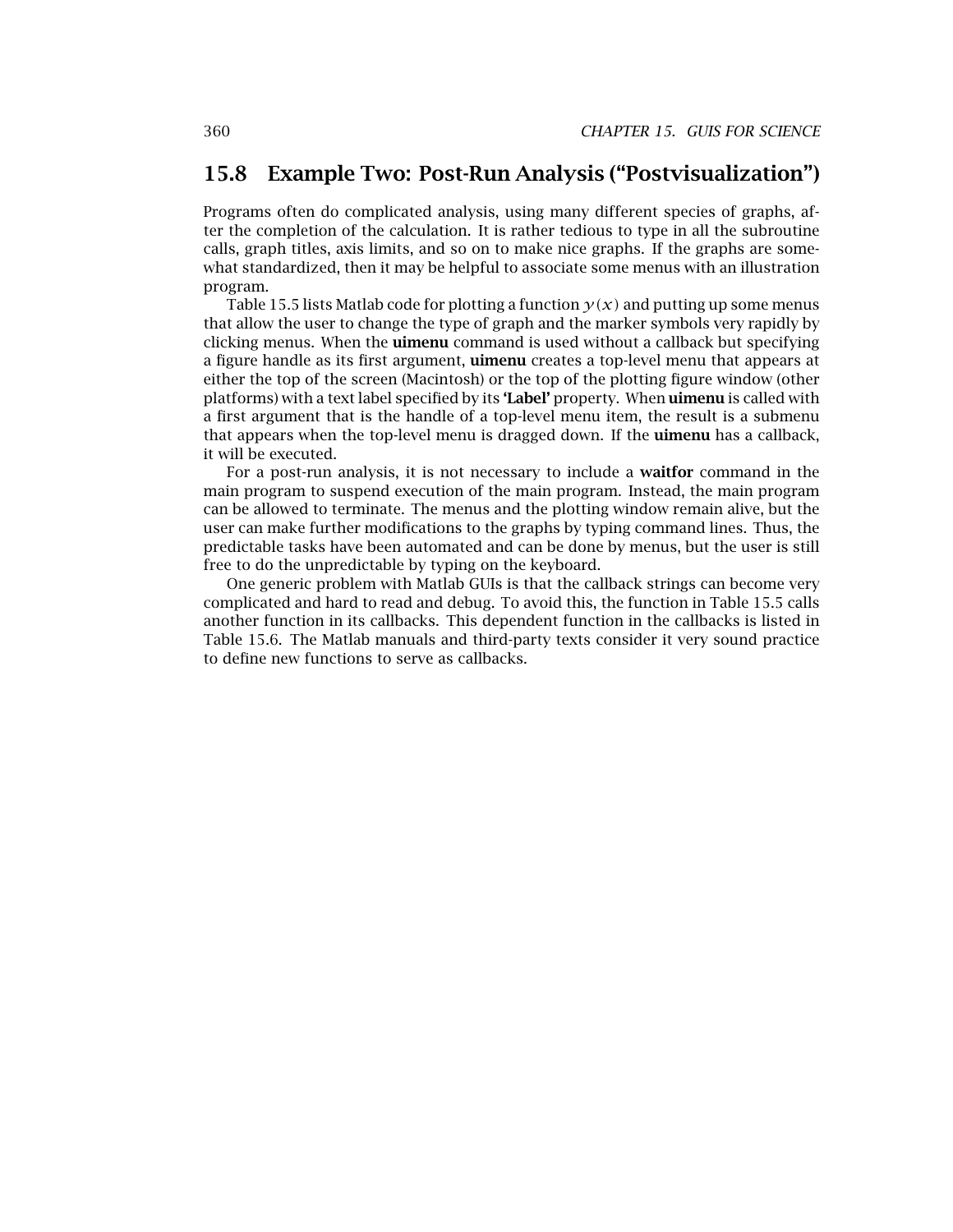### **15.8 Example Two: Post-Run Analysis ("Postvisualization")**

Programs often do complicated analysis, using many different species of graphs, after the completion of the calculation. It is rather tedious to type in all the subroutine calls, graph titles, axis limits, and so on to make nice graphs. If the graphs are somewhat standardized, then it may be helpful to associate some menus with an illustration program.

Table 15.5 lists Matlab code for plotting a function  $y(x)$  and putting up some menus that allow the user to change the type of graph and the marker symbols very rapidly by clicking menus. When the **uimenu** command is used without a callback but specifying a figure handle as its first argument, **uimenu** creates a top-level menu that appears at either the top of the screen (Macintosh) or the top of the plotting figure window (other platforms) with a text label specified by its **'Label'** property. When **uimenu** is called with a first argument that is the handle of a top-level menu item, the result is a submenu that appears when the top-level menu is dragged down. If the **uimenu** has a callback, it will be executed.

For a post-run analysis, it is not necessary to include a **waitfor** command in the main program to suspend execution of the main program. Instead, the main program can be allowed to terminate. The menus and the plotting window remain alive, but the user can make further modifications to the graphs by typing command lines. Thus, the predictable tasks have been automated and can be done by menus, but the user is still free to do the unpredictable by typing on the keyboard.

One generic problem with Matlab GUIs is that the callback strings can become very complicated and hard to read and debug. To avoid this, the function in Table 15.5 calls another function in its callbacks. This dependent function in the callbacks is listed in Table 15.6. The Matlab manuals and third-party texts consider it very sound practice to define new functions to serve as callbacks.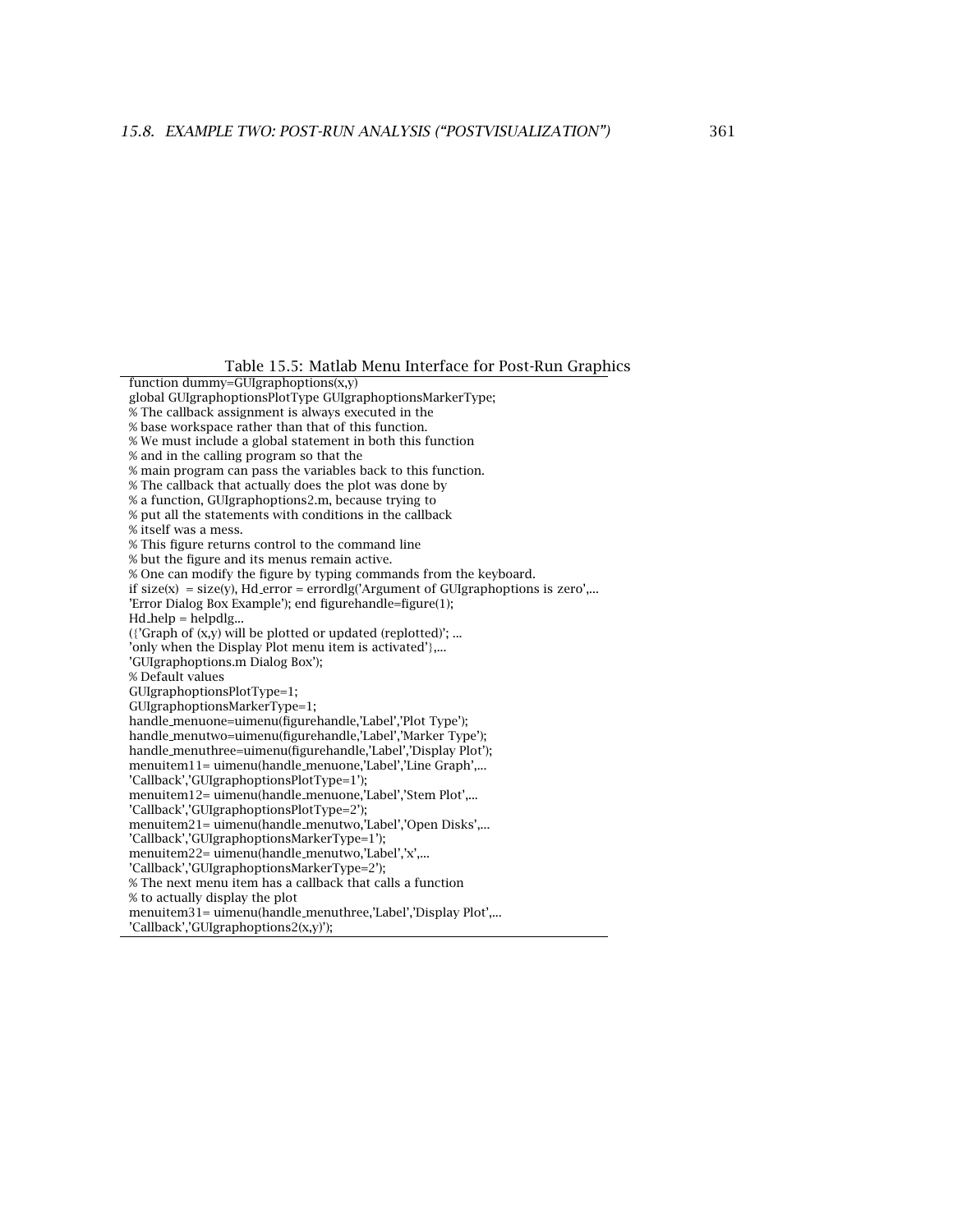Table 15.5: Matlab Menu Interface for Post-Run Graphics

function dummy=GUIgraphoptions(x,y) global GUIgraphoptionsPlotType GUIgraphoptionsMarkerType; % The callback assignment is always executed in the % base workspace rather than that of this function. % We must include a global statement in both this function % and in the calling program so that the % main program can pass the variables back to this function. % The callback that actually does the plot was done by % a function, GUIgraphoptions2.m, because trying to % put all the statements with conditions in the callback % itself was a mess. % This figure returns control to the command line % but the figure and its menus remain active. % One can modify the figure by typing commands from the keyboard. if  $size(x) = size(y)$ , Hd error = errordlg('Argument of GUIgraphoptions is zero',... 'Error Dialog Box Example'); end figurehandle=figure(1); Hd help = helpdlg... ( ${^{\circ}}$ Graph of  $(x,y)$  will be plotted or updated (replotted)'; ... 'only when the Display Plot menu item is activated'},... 'GUIgraphoptions.m Dialog Box'); % Default values GUIgraphoptionsPlotType=1; GUIgraphoptionsMarkerType=1; handle menuone=uimenu(figurehandle,'Label','Plot Type'); handle menutwo=uimenu(figurehandle,'Label','Marker Type'); handle menuthree=uimenu(figurehandle,'Label','Display Plot'); menuitem11= uimenu(handle menuone,'Label','Line Graph',... 'Callback','GUIgraphoptionsPlotType=1'); menuitem12= uimenu(handle menuone,'Label','Stem Plot',... 'Callback','GUIgraphoptionsPlotType=2'); menuitem21= uimenu(handle menutwo,'Label','Open Disks',... 'Callback','GUIgraphoptionsMarkerType=1'); menuitem22= uimenu(handle menutwo,'Label','x',... 'Callback','GUIgraphoptionsMarkerType=2'); % The next menu item has a callback that calls a function % to actually display the plot menuitem31= uimenu(handle menuthree,'Label','Display Plot',... 'Callback','GUIgraphoptions2(x,y)');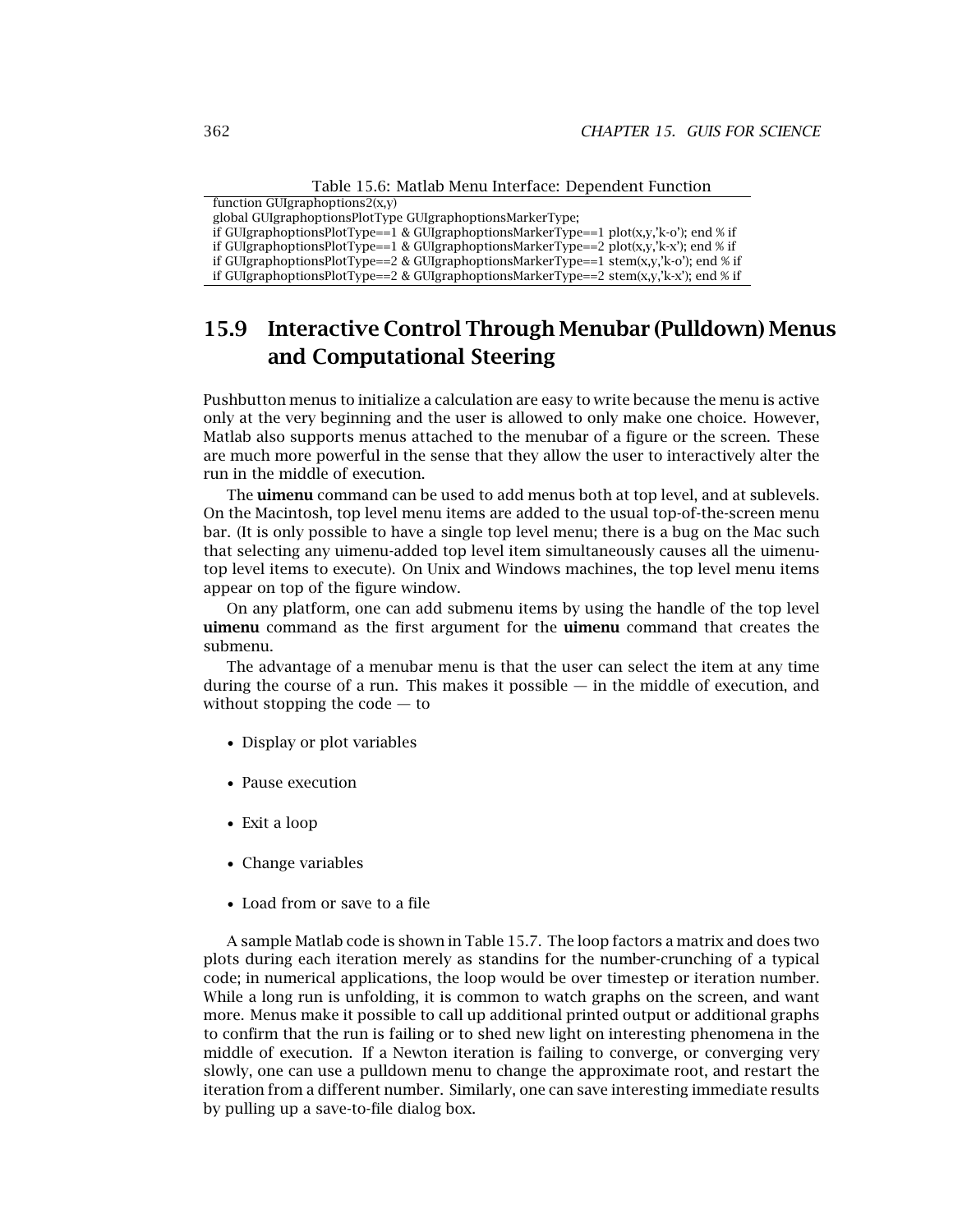Table 15.6: Matlab Menu Interface: Dependent Function

| function GUIgraphoptions $2(x,y)$                                                      |
|----------------------------------------------------------------------------------------|
| global GUIgraphoptionsPlotType GUIgraphoptionsMarkerType;                              |
| if GUIgraphoptionsPlotType==1 & GUIgraphoptionsMarkerType==1 plot(x,y,'k-o'); end % if |
| if GUIgraphoptionsPlotType==1 & GUIgraphoptionsMarkerType==2 plot(x,y,'k-x'); end % if |
| if GUIgraphoptionsPlotType==2 & GUIgraphoptionsMarkerType==1 stem(x,y,'k-o'); end % if |
| if GUIgraphoptionsPlotType==2 & GUIgraphoptionsMarkerType==2 stem(x,y,'k-x'); end % if |

### **15.9 Interactive Control Through Menubar (Pulldown) Menus and Computational Steering**

Pushbutton menus to initialize a calculation are easy to write because the menu is active only at the very beginning and the user is allowed to only make one choice. However, Matlab also supports menus attached to the menubar of a figure or the screen. These are much more powerful in the sense that they allow the user to interactively alter the run in the middle of execution.

The **uimenu** command can be used to add menus both at top level, and at sublevels. On the Macintosh, top level menu items are added to the usual top-of-the-screen menu bar. (It is only possible to have a single top level menu; there is a bug on the Mac such that selecting any uimenu-added top level item simultaneously causes all the uimenutop level items to execute). On Unix and Windows machines, the top level menu items appear on top of the figure window.

On any platform, one can add submenu items by using the handle of the top level **uimenu** command as the first argument for the **uimenu** command that creates the submenu.

The advantage of a menubar menu is that the user can select the item at any time during the course of a run. This makes it possible  $-$  in the middle of execution, and without stopping the  $code - to$ 

- Display or plot variables
- Pause execution
- Exit a loop
- Change variables
- Load from or save to a file

A sample Matlab code is shown in Table 15.7. The loop factors a matrix and does two plots during each iteration merely as standins for the number-crunching of a typical code; in numerical applications, the loop would be over timestep or iteration number. While a long run is unfolding, it is common to watch graphs on the screen, and want more. Menus make it possible to call up additional printed output or additional graphs to confirm that the run is failing or to shed new light on interesting phenomena in the middle of execution. If a Newton iteration is failing to converge, or converging very slowly, one can use a pulldown menu to change the approximate root, and restart the iteration from a different number. Similarly, one can save interesting immediate results by pulling up a save-to-file dialog box.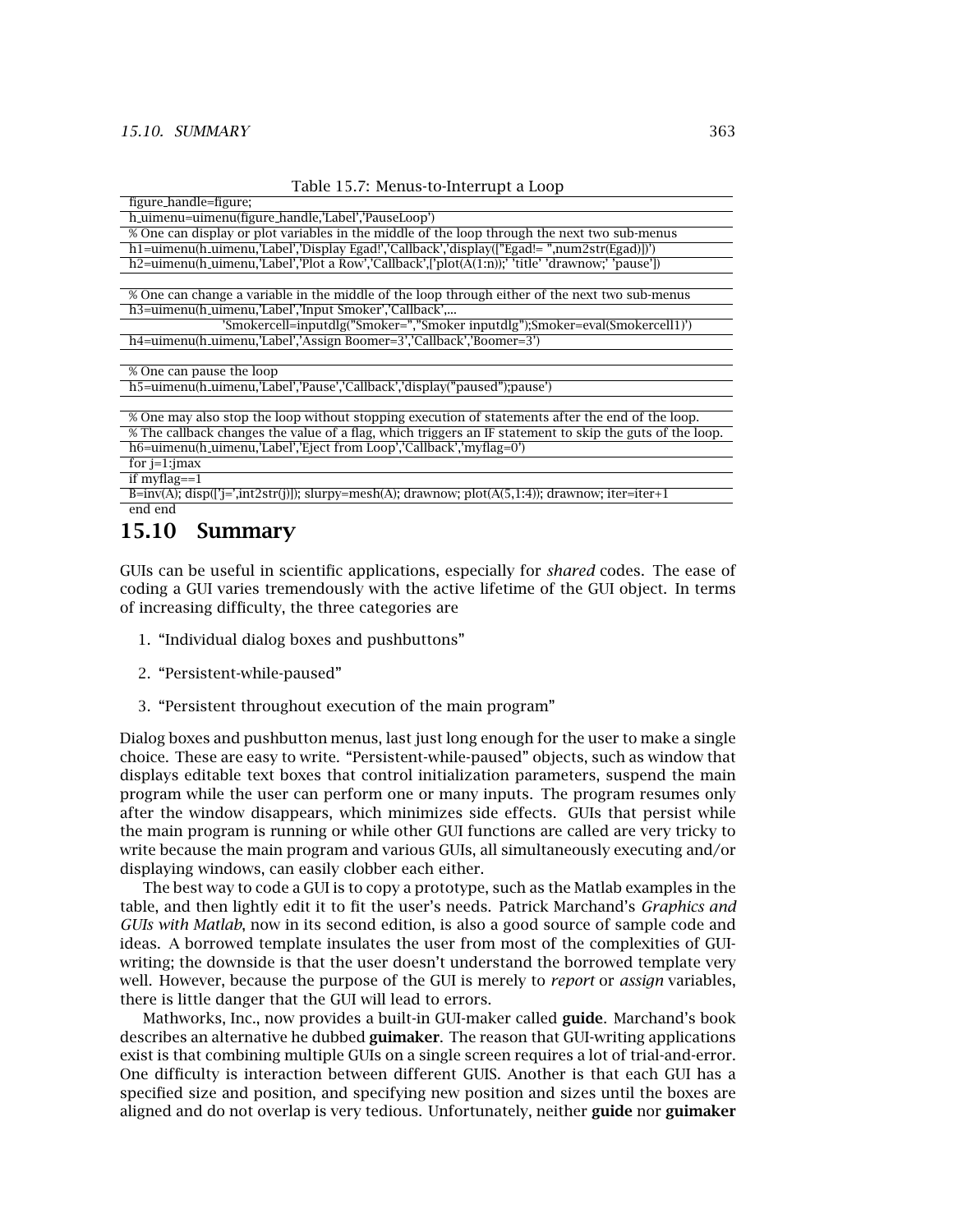| Table 15.7: Menus-to-Interrupt a Loop |  |
|---------------------------------------|--|
|---------------------------------------|--|

| figure_handle=figure;                                                                                      |  |  |
|------------------------------------------------------------------------------------------------------------|--|--|
| h uimenu=uimenu(figure handle,'Label','PauseLoop')                                                         |  |  |
| % One can display or plot variables in the middle of the loop through the next two sub-menus               |  |  |
| h1=uimenu(h_uimenu,'Label','Display Egad!','Callback','display(["Egad!= ",num2str(Egad)])')                |  |  |
| h2=uimenu(h_uimenu,'Label','Plot a Row','Callback',['plot(A(1:n));' 'title' 'drawnow;' 'pause'])           |  |  |
|                                                                                                            |  |  |
| % One can change a variable in the middle of the loop through either of the next two sub-menus             |  |  |
| h3=uimenu(h_uimenu,'Label','Input Smoker','Callback',                                                      |  |  |
| 'Smokercell=inputdlg("Smoker=","Smoker inputdlg");Smoker=eval(Smokercell1)')                               |  |  |
| h4=uimenu(h_uimenu,'Label','Assign Boomer=3','Callback','Boomer=3')                                        |  |  |
|                                                                                                            |  |  |
| % One can pause the loop                                                                                   |  |  |
| h5=uimenu(h_uimenu,'Label','Pause','Callback','display("paused");pause')                                   |  |  |
|                                                                                                            |  |  |
| % One may also stop the loop without stopping execution of statements after the end of the loop.           |  |  |
| % The callback changes the value of a flag, which triggers an IF statement to skip the guts of the loop.   |  |  |
| h6=uimenu(h_uimenu,'Label','Eject from Loop','Callback','myflag=0')                                        |  |  |
| for $j=1$ : $jmax$                                                                                         |  |  |
| if myflag= $=1$                                                                                            |  |  |
| $B=inv(A);$ disp( $[i=1, int2str(i)]$ ); slurpy=mesh(A); drawnow; plot( $A(5,1:4)$ ); drawnow; iter=iter+1 |  |  |
| end end                                                                                                    |  |  |

### **15.10 Summary**

GUIs can be useful in scientific applications, especially for *shared* codes. The ease of coding a GUI varies tremendously with the active lifetime of the GUI object. In terms of increasing difficulty, the three categories are

- 1. "Individual dialog boxes and pushbuttons"
- 2. "Persistent-while-paused"
- 3. "Persistent throughout execution of the main program"

Dialog boxes and pushbutton menus, last just long enough for the user to make a single choice. These are easy to write. "Persistent-while-paused" objects, such as window that displays editable text boxes that control initialization parameters, suspend the main program while the user can perform one or many inputs. The program resumes only after the window disappears, which minimizes side effects. GUIs that persist while the main program is running or while other GUI functions are called are very tricky to write because the main program and various GUIs, all simultaneously executing and/or displaying windows, can easily clobber each either.

The best way to code a GUI is to copy a prototype, such as the Matlab examples in the table, and then lightly edit it to fit the user's needs. Patrick Marchand's *Graphics and GUIs with Matlab*, now in its second edition, is also a good source of sample code and ideas. A borrowed template insulates the user from most of the complexities of GUIwriting; the downside is that the user doesn't understand the borrowed template very well. However, because the purpose of the GUI is merely to *report* or *assign* variables, there is little danger that the GUI will lead to errors.

Mathworks, Inc., now provides a built-in GUI-maker called **guide**. Marchand's book describes an alternative he dubbed **guimaker**. The reason that GUI-writing applications exist is that combining multiple GUIs on a single screen requires a lot of trial-and-error. One difficulty is interaction between different GUIS. Another is that each GUI has a specified size and position, and specifying new position and sizes until the boxes are aligned and do not overlap is very tedious. Unfortunately, neither guide nor guimaker